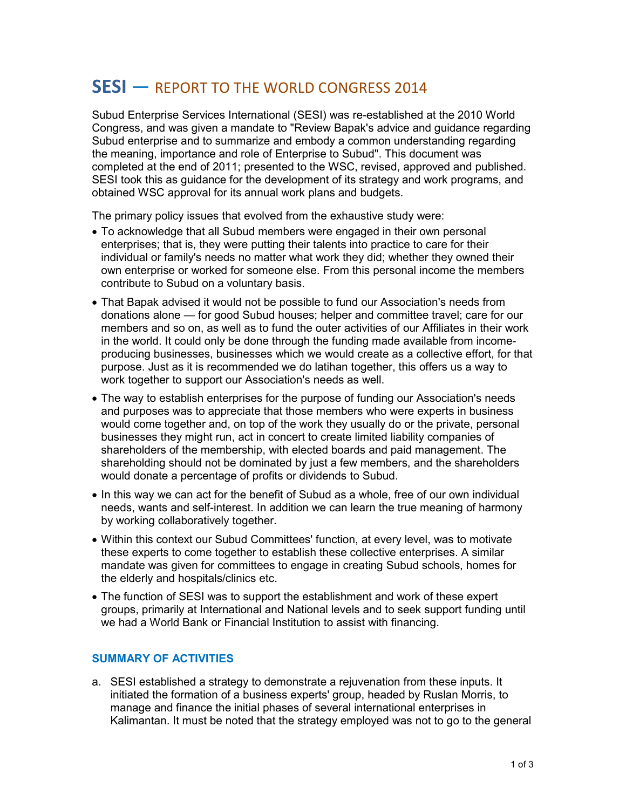## **SESI** — REPORT TO THE WORLD CONGRESS 2014

Subud Enterprise Services International (SESI) was re-established at the 2010 World Congress, and was given a mandate to "Review Bapak's advice and guidance regarding Subud enterprise and to summarize and embody a common understanding regarding the meaning, importance and role of Enterprise to Subud". This document was completed at the end of 2011; presented to the WSC, revised, approved and published. SESI took this as guidance for the development of its strategy and work programs, and obtained WSC approval for its annual work plans and budgets.

The primary policy issues that evolved from the exhaustive study were:

- To acknowledge that all Subud members were engaged in their own personal enterprises; that is, they were putting their talents into practice to care for their individual or family's needs no matter what work they did; whether they owned their own enterprise or worked for someone else. From this personal income the members contribute to Subud on a voluntary basis.
- That Bapak advised it would not be possible to fund our Association's needs from donations alone — for good Subud houses; helper and committee travel; care for our members and so on, as well as to fund the outer activities of our Affiliates in their work in the world. It could only be done through the funding made available from incomeproducing businesses, businesses which we would create as a collective effort, for that purpose. Just as it is recommended we do latihan together, this offers us a way to work together to support our Association's needs as well.
- The way to establish enterprises for the purpose of funding our Association's needs and purposes was to appreciate that those members who were experts in business would come together and, on top of the work they usually do or the private, personal businesses they might run, act in concert to create limited liability companies of shareholders of the membership, with elected boards and paid management. The shareholding should not be dominated by just a few members, and the shareholders would donate a percentage of profits or dividends to Subud.
- In this way we can act for the benefit of Subud as a whole, free of our own individual needs, wants and self-interest. In addition we can learn the true meaning of harmony by working collaboratively together.
- Within this context our Subud Committees' function, at every level, was to motivate these experts to come together to establish these collective enterprises. A similar mandate was given for committees to engage in creating Subud schools, homes for the elderly and hospitals/clinics etc.
- The function of SESI was to support the establishment and work of these expert groups, primarily at International and National levels and to seek support funding until we had a World Bank or Financial Institution to assist with financing.

## **SUMMARY OF ACTIVITIES**

a. SESI established a strategy to demonstrate a rejuvenation from these inputs. It initiated the formation of a business experts' group, headed by Ruslan Morris, to manage and finance the initial phases of several international enterprises in Kalimantan. It must be noted that the strategy employed was not to go to the general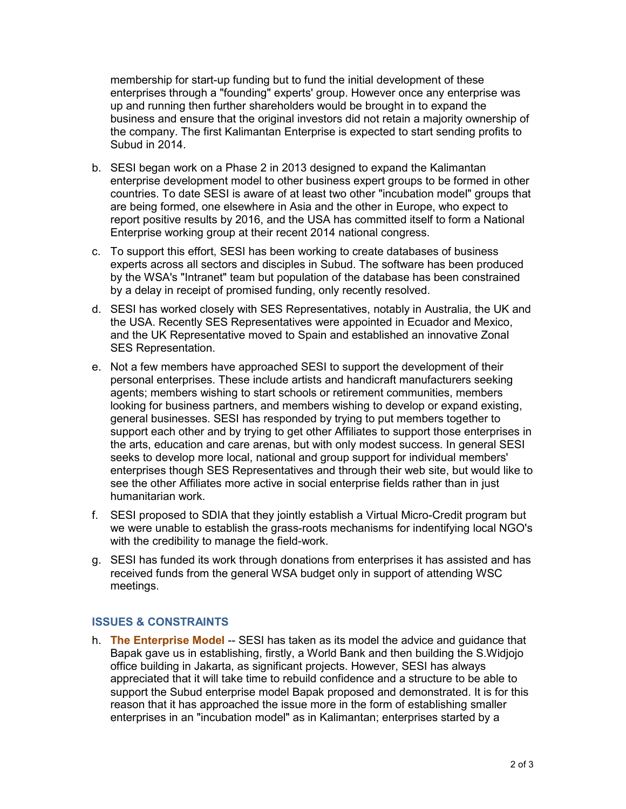membership for start-up funding but to fund the initial development of these enterprises through a "founding" experts' group. However once any enterprise was up and running then further shareholders would be brought in to expand the business and ensure that the original investors did not retain a majority ownership of the company. The first Kalimantan Enterprise is expected to start sending profits to Subud in 2014.

- b. SESI began work on a Phase 2 in 2013 designed to expand the Kalimantan enterprise development model to other business expert groups to be formed in other countries. To date SESI is aware of at least two other "incubation model" groups that are being formed, one elsewhere in Asia and the other in Europe, who expect to report positive results by 2016, and the USA has committed itself to form a National Enterprise working group at their recent 2014 national congress.
- c. To support this effort, SESI has been working to create databases of business experts across all sectors and disciples in Subud. The software has been produced by the WSA's "Intranet" team but population of the database has been constrained by a delay in receipt of promised funding, only recently resolved.
- d. SESI has worked closely with SES Representatives, notably in Australia, the UK and the USA. Recently SES Representatives were appointed in Ecuador and Mexico, and the UK Representative moved to Spain and established an innovative Zonal SES Representation.
- e. Not a few members have approached SESI to support the development of their personal enterprises. These include artists and handicraft manufacturers seeking agents; members wishing to start schools or retirement communities, members looking for business partners, and members wishing to develop or expand existing, general businesses. SESI has responded by trying to put members together to support each other and by trying to get other Affiliates to support those enterprises in the arts, education and care arenas, but with only modest success. In general SESI seeks to develop more local, national and group support for individual members' enterprises though SES Representatives and through their web site, but would like to see the other Affiliates more active in social enterprise fields rather than in just humanitarian work.
- f. SESI proposed to SDIA that they jointly establish a Virtual Micro-Credit program but we were unable to establish the grass-roots mechanisms for indentifying local NGO's with the credibility to manage the field-work.
- g. SESI has funded its work through donations from enterprises it has assisted and has received funds from the general WSA budget only in support of attending WSC meetings.

## **ISSUES & CONSTRAINTS**

h. **The Enterprise Model** -- SESI has taken as its model the advice and guidance that Bapak gave us in establishing, firstly, a World Bank and then building the S.Widjojo office building in Jakarta, as significant projects. However, SESI has always appreciated that it will take time to rebuild confidence and a structure to be able to support the Subud enterprise model Bapak proposed and demonstrated. It is for this reason that it has approached the issue more in the form of establishing smaller enterprises in an "incubation model" as in Kalimantan; enterprises started by a